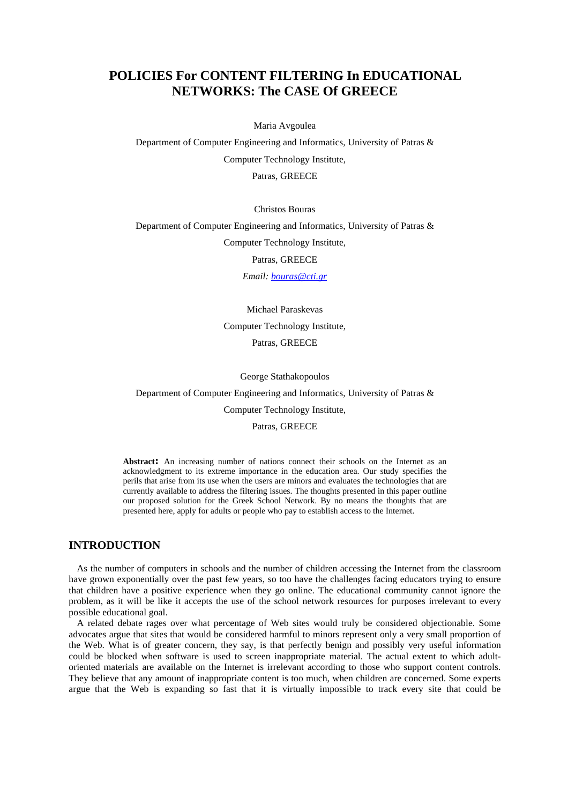# **POLICIES For CONTENT FILTERING In EDUCATIONAL NETWORKS: The CASE Of GREECE**

Maria Avgoulea

Department of Computer Engineering and Informatics, University of Patras & Computer Technology Institute, Patras, GREECE

Christos Bouras

Department of Computer Engineering and Informatics, University of Patras & Computer Technology Institute, Patras, GREECE

*Email: bouras@cti.gr*

Michael Paraskevas Computer Technology Institute, Patras, GREECE

George Stathakopoulos

Department of Computer Engineering and Informatics, University of Patras &

Computer Technology Institute,

Patras, GREECE

**Abstract:** An increasing number of nations connect their schools on the Internet as an acknowledgment to its extreme importance in the education area. Our study specifies the perils that arise from its use when the users are minors and evaluates the technologies that are currently available to address the filtering issues. The thoughts presented in this paper outline our proposed solution for the Greek School Network. By no means the thoughts that are presented here, apply for adults or people who pay to establish access to the Internet.

# **INTRODUCTION**

As the number of computers in schools and the number of children accessing the Internet from the classroom have grown exponentially over the past few years, so too have the challenges facing educators trying to ensure that children have a positive experience when they go online. The educational community cannot ignore the problem, as it will be like it accepts the use of the school network resources for purposes irrelevant to every possible educational goal.

A related debate rages over what percentage of Web sites would truly be considered objectionable. Some advocates argue that sites that would be considered harmful to minors represent only a very small proportion of the Web. What is of greater concern, they say, is that perfectly benign and possibly very useful information could be blocked when software is used to screen inappropriate material. The actual extent to which adultoriented materials are available on the Internet is irrelevant according to those who support content controls. They believe that any amount of inappropriate content is too much, when children are concerned. Some experts argue that the Web is expanding so fast that it is virtually impossible to track every site that could be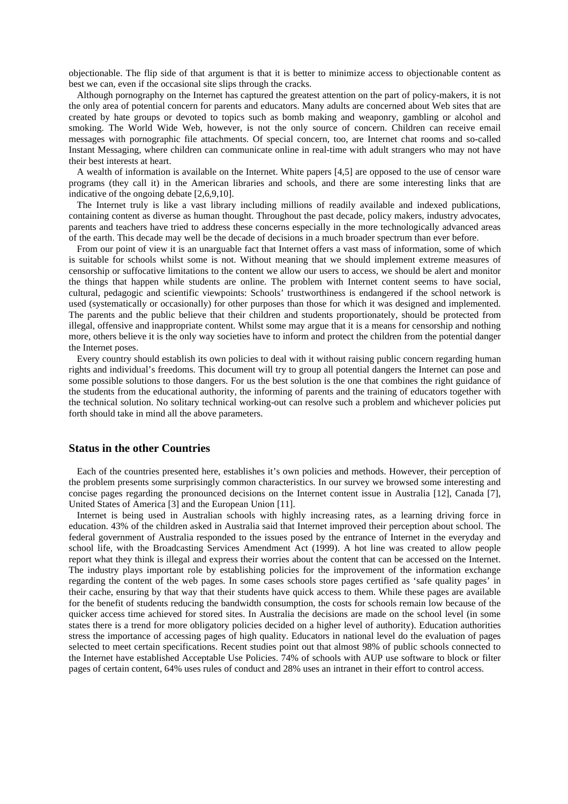objectionable. The flip side of that argument is that it is better to minimize access to objectionable content as best we can, even if the occasional site slips through the cracks.

Although pornography on the Internet has captured the greatest attention on the part of policy-makers, it is not the only area of potential concern for parents and educators. Many adults are concerned about Web sites that are created by hate groups or devoted to topics such as bomb making and weaponry, gambling or alcohol and smoking. The World Wide Web, however, is not the only source of concern. Children can receive email messages with pornographic file attachments. Of special concern, too, are Internet chat rooms and so-called Instant Messaging, where children can communicate online in real-time with adult strangers who may not have their best interests at heart.

A wealth of information is available on the Internet. White papers [4,5] are opposed to the use of censor ware programs (they call it) in the American libraries and schools, and there are some interesting links that are indicative of the ongoing debate [2,6,9,10].

The Internet truly is like a vast library including millions of readily available and indexed publications, containing content as diverse as human thought. Throughout the past decade, policy makers, industry advocates, parents and teachers have tried to address these concerns especially in the more technologically advanced areas of the earth. This decade may well be the decade of decisions in a much broader spectrum than ever before.

From our point of view it is an unarguable fact that Internet offers a vast mass of information, some of which is suitable for schools whilst some is not. Without meaning that we should implement extreme measures of censorship or suffocative limitations to the content we allow our users to access, we should be alert and monitor the things that happen while students are online. The problem with Internet content seems to have social, cultural, pedagogic and scientific viewpoints: Schools' trustworthiness is endangered if the school network is used (systematically or occasionally) for other purposes than those for which it was designed and implemented. The parents and the public believe that their children and students proportionately, should be protected from illegal, offensive and inappropriate content. Whilst some may argue that it is a means for censorship and nothing more, others believe it is the only way societies have to inform and protect the children from the potential danger the Internet poses.

Every country should establish its own policies to deal with it without raising public concern regarding human rights and individual's freedoms. This document will try to group all potential dangers the Internet can pose and some possible solutions to those dangers. For us the best solution is the one that combines the right guidance of the students from the educational authority, the informing of parents and the training of educators together with the technical solution. No solitary technical working-out can resolve such a problem and whichever policies put forth should take in mind all the above parameters.

#### **Status in the other Countries**

Each of the countries presented here, establishes it's own policies and methods. However, their perception of the problem presents some surprisingly common characteristics. In our survey we browsed some interesting and concise pages regarding the pronounced decisions on the Internet content issue in Australia [12], Canada [7], United States of America [3] and the European Union [11].

Internet is being used in Australian schools with highly increasing rates, as a learning driving force in education. 43% of the children asked in Australia said that Internet improved their perception about school. The federal government of Australia responded to the issues posed by the entrance of Internet in the everyday and school life, with the Broadcasting Services Amendment Act (1999). A hot line was created to allow people report what they think is illegal and express their worries about the content that can be accessed on the Internet. The industry plays important role by establishing policies for the improvement of the information exchange regarding the content of the web pages. In some cases schools store pages certified as 'safe quality pages' in their cache, ensuring by that way that their students have quick access to them. While these pages are available for the benefit of students reducing the bandwidth consumption, the costs for schools remain low because of the quicker access time achieved for stored sites. In Australia the decisions are made on the school level (in some states there is a trend for more obligatory policies decided on a higher level of authority). Education authorities stress the importance of accessing pages of high quality. Educators in national level do the evaluation of pages selected to meet certain specifications. Recent studies point out that almost 98% of public schools connected to the Internet have established Acceptable Use Policies. 74% of schools with AUP use software to block or filter pages of certain content, 64% uses rules of conduct and 28% uses an intranet in their effort to control access.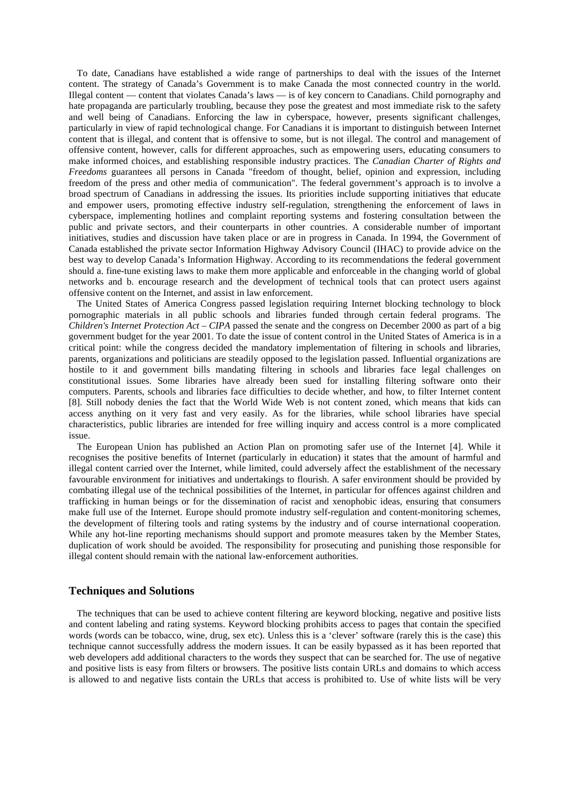To date, Canadians have established a wide range of partnerships to deal with the issues of the Internet content. The strategy of Canada's Government is to make Canada the most connected country in the world. Illegal content — content that violates Canada's laws — is of key concern to Canadians. Child pornography and hate propaganda are particularly troubling, because they pose the greatest and most immediate risk to the safety and well being of Canadians. Enforcing the law in cyberspace, however, presents significant challenges, particularly in view of rapid technological change. For Canadians it is important to distinguish between Internet content that is illegal, and content that is offensive to some, but is not illegal. The control and management of offensive content, however, calls for different approaches, such as empowering users, educating consumers to make informed choices, and establishing responsible industry practices. The *Canadian Charter of Rights and Freedoms* guarantees all persons in Canada "freedom of thought, belief, opinion and expression, including freedom of the press and other media of communication". The federal government's approach is to involve a broad spectrum of Canadians in addressing the issues. Its priorities include supporting initiatives that educate and empower users, promoting effective industry self-regulation, strengthening the enforcement of laws in cyberspace, implementing hotlines and complaint reporting systems and fostering consultation between the public and private sectors, and their counterparts in other countries. A considerable number of important initiatives, studies and discussion have taken place or are in progress in Canada. In 1994, the Government of Canada established the private sector Information Highway Advisory Council (IHAC) to provide advice on the best way to develop Canada's Information Highway. According to its recommendations the federal government should a. fine-tune existing laws to make them more applicable and enforceable in the changing world of global networks and b. encourage research and the development of technical tools that can protect users against offensive content on the Internet, and assist in law enforcement.

The United States of America Congress passed legislation requiring Internet blocking technology to block pornographic materials in all public schools and libraries funded through certain federal programs. The *Children's Internet Protection Act – CIPA* passed the senate and the congress on December 2000 as part of a big government budget for the year 2001. To date the issue of content control in the United States of America is in a critical point: while the congress decided the mandatory implementation of filtering in schools and libraries, parents, organizations and politicians are steadily opposed to the legislation passed. Influential organizations are hostile to it and government bills mandating filtering in schools and libraries face legal challenges on constitutional issues. Some libraries have already been sued for installing filtering software onto their computers. Parents, schools and libraries face difficulties to decide whether, and how, to filter Internet content [8]. Still nobody denies the fact that the World Wide Web is not content zoned, which means that kids can access anything on it very fast and very easily. As for the libraries, while school libraries have special characteristics, public libraries are intended for free willing inquiry and access control is a more complicated issue.

The European Union has published an Action Plan on promoting safer use of the Internet [4]. While it recognises the positive benefits of Internet (particularly in education) it states that the amount of harmful and illegal content carried over the Internet, while limited, could adversely affect the establishment of the necessary favourable environment for initiatives and undertakings to flourish. A safer environment should be provided by combating illegal use of the technical possibilities of the Internet, in particular for offences against children and trafficking in human beings or for the dissemination of racist and xenophobic ideas, ensuring that consumers make full use of the Internet. Europe should promote industry self-regulation and content-monitoring schemes, the development of filtering tools and rating systems by the industry and of course international cooperation. While any hot-line reporting mechanisms should support and promote measures taken by the Member States, duplication of work should be avoided. The responsibility for prosecuting and punishing those responsible for illegal content should remain with the national law-enforcement authorities.

### **Techniques and Solutions**

The techniques that can be used to achieve content filtering are keyword blocking, negative and positive lists and content labeling and rating systems. Keyword blocking prohibits access to pages that contain the specified words (words can be tobacco, wine, drug, sex etc). Unless this is a 'clever' software (rarely this is the case) this technique cannot successfully address the modern issues. It can be easily bypassed as it has been reported that web developers add additional characters to the words they suspect that can be searched for. The use of negative and positive lists is easy from filters or browsers. The positive lists contain URLs and domains to which access is allowed to and negative lists contain the URLs that access is prohibited to. Use of white lists will be very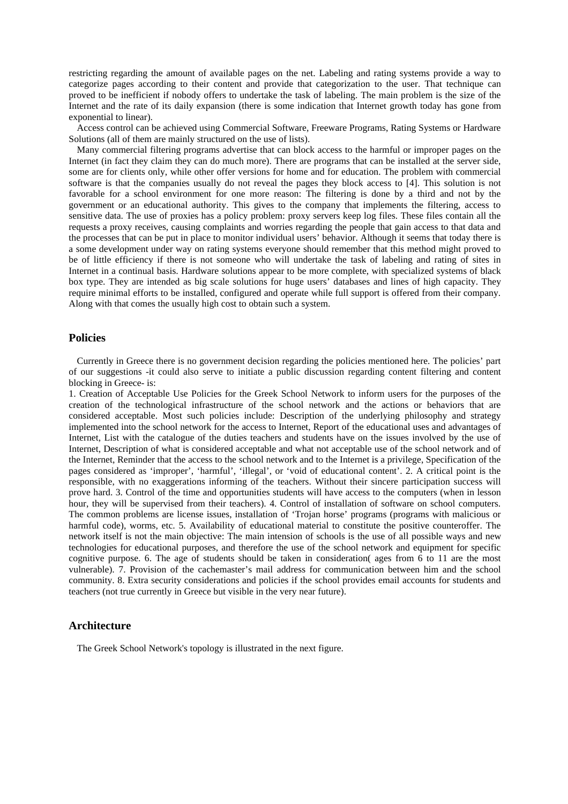restricting regarding the amount of available pages on the net. Labeling and rating systems provide a way to categorize pages according to their content and provide that categorization to the user. That technique can proved to be inefficient if nobody offers to undertake the task of labeling. The main problem is the size of the Internet and the rate of its daily expansion (there is some indication that Internet growth today has gone from exponential to linear).

Access control can be achieved using Commercial Software, Freeware Programs, Rating Systems or Hardware Solutions (all of them are mainly structured on the use of lists).

Many commercial filtering programs advertise that can block access to the harmful or improper pages on the Internet (in fact they claim they can do much more). There are programs that can be installed at the server side, some are for clients only, while other offer versions for home and for education. The problem with commercial software is that the companies usually do not reveal the pages they block access to [4]. This solution is not favorable for a school environment for one more reason: The filtering is done by a third and not by the government or an educational authority. This gives to the company that implements the filtering, access to sensitive data. The use of proxies has a policy problem: proxy servers keep log files. These files contain all the requests a proxy receives, causing complaints and worries regarding the people that gain access to that data and the processes that can be put in place to monitor individual users' behavior. Although it seems that today there is a some development under way on rating systems everyone should remember that this method might proved to be of little efficiency if there is not someone who will undertake the task of labeling and rating of sites in Internet in a continual basis. Hardware solutions appear to be more complete, with specialized systems of black box type. They are intended as big scale solutions for huge users' databases and lines of high capacity. They require minimal efforts to be installed, configured and operate while full support is offered from their company. Along with that comes the usually high cost to obtain such a system.

## **Policies**

Currently in Greece there is no government decision regarding the policies mentioned here. The policies' part of our suggestions -it could also serve to initiate a public discussion regarding content filtering and content blocking in Greece- is:

1. Creation of Acceptable Use Policies for the Greek School Network to inform users for the purposes of the creation of the technological infrastructure of the school network and the actions or behaviors that are considered acceptable. Most such policies include: Description of the underlying philosophy and strategy implemented into the school network for the access to Internet, Report of the educational uses and advantages of Internet, List with the catalogue of the duties teachers and students have on the issues involved by the use of Internet, Description of what is considered acceptable and what not acceptable use of the school network and of the Internet, Reminder that the access to the school network and to the Internet is a privilege, Specification of the pages considered as 'improper', 'harmful', 'illegal', or 'void of educational content'. 2. A critical point is the responsible, with no exaggerations informing of the teachers. Without their sincere participation success will prove hard. 3. Control of the time and opportunities students will have access to the computers (when in lesson hour, they will be supervised from their teachers). 4. Control of installation of software on school computers. The common problems are license issues, installation of 'Trojan horse' programs (programs with malicious or harmful code), worms, etc. 5. Availability of educational material to constitute the positive counteroffer. The network itself is not the main objective: The main intension of schools is the use of all possible ways and new technologies for educational purposes, and therefore the use of the school network and equipment for specific cognitive purpose. 6. The age of students should be taken in consideration( ages from 6 to 11 are the most vulnerable). 7. Provision of the cachemaster's mail address for communication between him and the school community. 8. Extra security considerations and policies if the school provides email accounts for students and teachers (not true currently in Greece but visible in the very near future).

# **Architecture**

The Greek School Network's topology is illustrated in the next figure.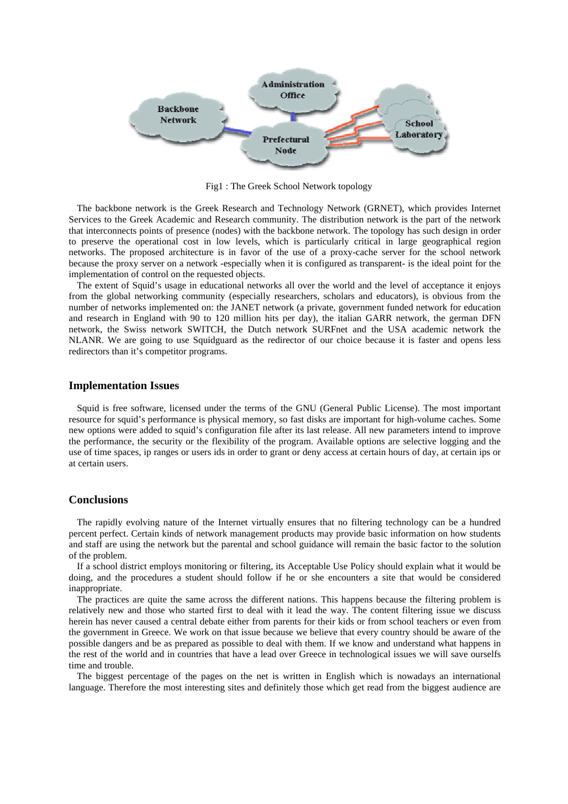

Fig1 : The Greek School Network topology

The backbone network is the Greek Research and Technology Network (GRNET), which provides Internet Services to the Greek Academic and Research community. The distribution network is the part of the network that interconnects points of presence (nodes) with the backbone network. The topology has such design in order to preserve the operational cost in low levels, which is particularly critical in large geographical region networks. The proposed architecture is in favor of the use of a proxy-cache server for the school network because the proxy server on a network -especially when it is configured as transparent- is the ideal point for the implementation of control on the requested objects.

The extent of Squid's usage in educational networks all over the world and the level of acceptance it enjoys from the global networking community (especially researchers, scholars and educators), is obvious from the number of networks implemented on: the JANET network (a private, government funded network for education and research in England with 90 to 120 million hits per day), the italian GARR network, the german DFN network, the Swiss network SWITCH, the Dutch network SURFnet and the USA academic network the NLANR. We are going to use Squidguard as the redirector of our choice because it is faster and opens less redirectors than it's competitor programs.

#### **Implementation Issues**

Squid is free software, licensed under the terms of the GNU (General Public License). The most important resource for squid's performance is physical memory, so fast disks are important for high-volume caches. Some new options were added to squid's configuration file after its last release. All new parameters intend to improve the performance, the security or the flexibility of the program. Available options are selective logging and the use of time spaces, ip ranges or users ids in order to grant or deny access at certain hours of day, at certain ips or at certain users.

## **Conclusions**

The rapidly evolving nature of the Internet virtually ensures that no filtering technology can be a hundred percent perfect. Certain kinds of network management products may provide basic information on how students and staff are using the network but the parental and school guidance will remain the basic factor to the solution of the problem.

If a school district employs monitoring or filtering, its Acceptable Use Policy should explain what it would be doing, and the procedures a student should follow if he or she encounters a site that would be considered inappropriate.

The practices are quite the same across the different nations. This happens because the filtering problem is relatively new and those who started first to deal with it lead the way. The content filtering issue we discuss herein has never caused a central debate either from parents for their kids or from school teachers or even from the government in Greece. We work on that issue because we believe that every country should be aware of the possible dangers and be as prepared as possible to deal with them. If we know and understand what happens in the rest of the world and in countries that have a lead over Greece in technological issues we will save ourselfs time and trouble.

The biggest percentage of the pages on the net is written in English which is nowadays an international language. Therefore the most interesting sites and definitely those which get read from the biggest audience are